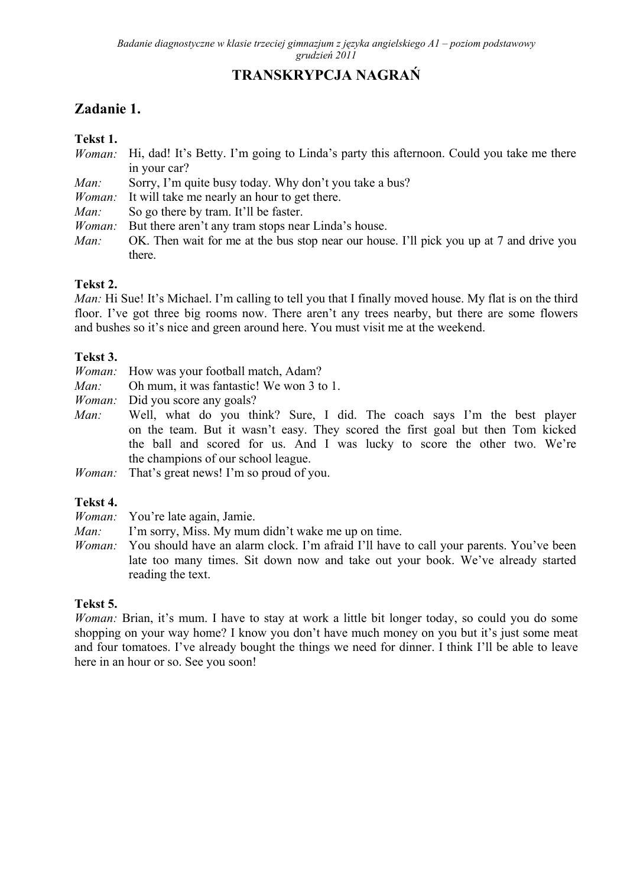# **TRANSKRYPCJA NAGRAŃ**

## **Zadanie 1.**

#### **Tekst 1.**

- *Woman:* Hi, dad! It's Betty. I'm going to Linda's party this afternoon. Could you take me there in your car?
- *Man:* Sorry, I'm quite busy today. Why don't you take a bus?
- *Woman:* It will take me nearly an hour to get there.
- *Man:* So go there by tram. It'll be faster.
- *Woman:* But there aren't any tram stops near Linda's house.
- *Man:* OK. Then wait for me at the bus stop near our house. I'll pick you up at 7 and drive you there.

#### **Tekst 2.**

*Man:* Hi Sue! It's Michael. I'm calling to tell you that I finally moved house. My flat is on the third floor. I've got three big rooms now. There aren't any trees nearby, but there are some flowers and bushes so it's nice and green around here. You must visit me at the weekend.

#### **Tekst 3.**

- *Woman:* How was your football match, Adam?
- *Man:* Oh mum, it was fantastic! We won 3 to 1.
- *Woman:* Did you score any goals?
- *Man:* Well, what do you think? Sure, I did. The coach says I'm the best player on the team. But it wasn't easy. They scored the first goal but then Tom kicked the ball and scored for us. And I was lucky to score the other two. We're the champions of our school league.
- *Woman:* That's great news! I'm so proud of you.

#### **Tekst 4.**

- *Woman:* You're late again, Jamie.
- *Man:* I'm sorry, Miss. My mum didn't wake me up on time.
- *Woman:* You should have an alarm clock. I'm afraid I'll have to call your parents. You've been late too many times. Sit down now and take out your book. We've already started reading the text.

#### **Tekst 5.**

*Woman:* Brian, it's mum. I have to stay at work a little bit longer today, so could you do some shopping on your way home? I know you don't have much money on you but it's just some meat and four tomatoes. I've already bought the things we need for dinner. I think I'll be able to leave here in an hour or so. See you soon!